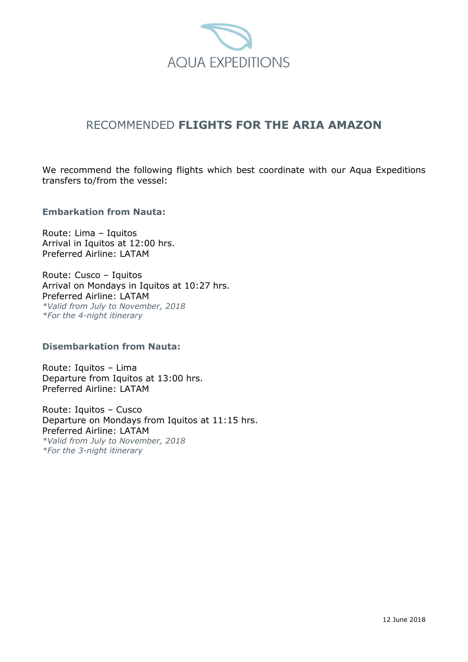

# RECOMMENDED **FLIGHTS FOR THE ARIA AMAZON**

We recommend the following flights which best coordinate with our Aqua Expeditions transfers to/from the vessel:

## **Embarkation from Nauta:**

Route: Lima – Iquitos Arrival in Iquitos at 12:00 hrs. Preferred Airline: LATAM

Route: Cusco – Iquitos Arrival on Mondays in Iquitos at 10:27 hrs. Preferred Airline: LATAM *\*Valid from July to November, 2018 \*For the 4-night itinerary*

#### **Disembarkation from Nauta:**

Route: Iquitos – Lima Departure from Iquitos at 13:00 hrs. Preferred Airline: LATAM

Route: Iquitos – Cusco Departure on Mondays from Iquitos at 11:15 hrs. Preferred Airline: LATAM *\*Valid from July to November, 2018 \*For the 3-night itinerary*